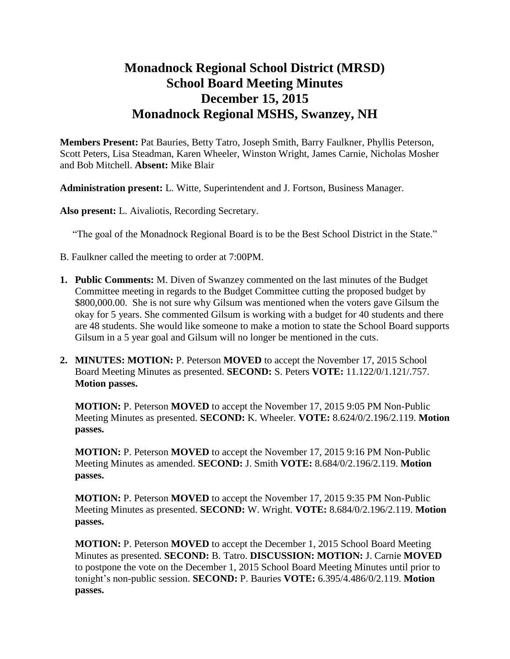# **Monadnock Regional School District (MRSD) School Board Meeting Minutes December 15, 2015 Monadnock Regional MSHS, Swanzey, NH**

**Members Present:** Pat Bauries, Betty Tatro, Joseph Smith, Barry Faulkner, Phyllis Peterson, Scott Peters, Lisa Steadman, Karen Wheeler, Winston Wright, James Carnie, Nicholas Mosher and Bob Mitchell. **Absent:** Mike Blair

**Administration present:** L. Witte, Superintendent and J. Fortson, Business Manager.

**Also present:** L. Aivaliotis, Recording Secretary.

"The goal of the Monadnock Regional Board is to be the Best School District in the State."

- B. Faulkner called the meeting to order at 7:00PM.
- **1. Public Comments:** M. Diven of Swanzey commented on the last minutes of the Budget Committee meeting in regards to the Budget Committee cutting the proposed budget by \$800,000.00. She is not sure why Gilsum was mentioned when the voters gave Gilsum the okay for 5 years. She commented Gilsum is working with a budget for 40 students and there are 48 students. She would like someone to make a motion to state the School Board supports Gilsum in a 5 year goal and Gilsum will no longer be mentioned in the cuts.
- **2. MINUTES: MOTION:** P. Peterson **MOVED** to accept the November 17, 2015 School Board Meeting Minutes as presented. **SECOND:** S. Peters **VOTE:** 11.122/0/1.121/.757. **Motion passes.**

**MOTION:** P. Peterson **MOVED** to accept the November 17, 2015 9:05 PM Non-Public Meeting Minutes as presented. **SECOND:** K. Wheeler. **VOTE:** 8.624/0/2.196/2.119. **Motion passes.** 

**MOTION:** P. Peterson **MOVED** to accept the November 17, 2015 9:16 PM Non-Public Meeting Minutes as amended. **SECOND:** J. Smith **VOTE:** 8.684/0/2.196/2.119. **Motion passes.** 

**MOTION:** P. Peterson **MOVED** to accept the November 17, 2015 9:35 PM Non-Public Meeting Minutes as presented. **SECOND:** W. Wright. **VOTE:** 8.684/0/2.196/2.119. **Motion passes.** 

**MOTION:** P. Peterson **MOVED** to accept the December 1, 2015 School Board Meeting Minutes as presented. **SECOND:** B. Tatro. **DISCUSSION: MOTION:** J. Carnie **MOVED**  to postpone the vote on the December 1, 2015 School Board Meeting Minutes until prior to tonight's non-public session. **SECOND:** P. Bauries **VOTE:** 6.395/4.486/0/2.119. **Motion passes.**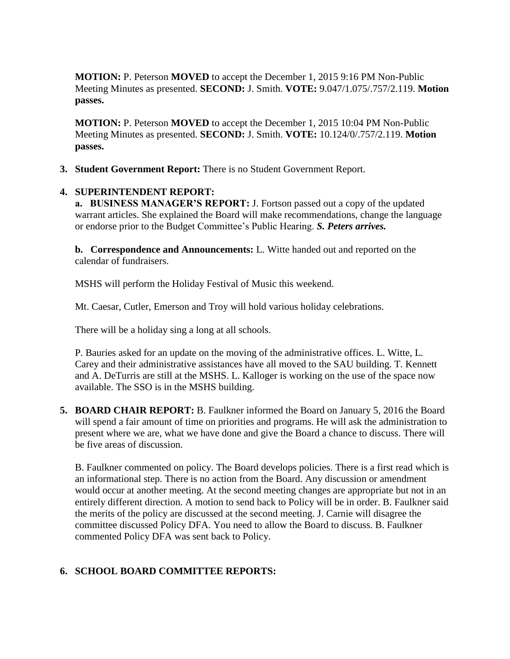**MOTION:** P. Peterson **MOVED** to accept the December 1, 2015 9:16 PM Non-Public Meeting Minutes as presented. **SECOND:** J. Smith. **VOTE:** 9.047/1.075/.757/2.119. **Motion passes.** 

**MOTION:** P. Peterson **MOVED** to accept the December 1, 2015 10:04 PM Non-Public Meeting Minutes as presented. **SECOND:** J. Smith. **VOTE:** 10.124/0/.757/2.119. **Motion passes.** 

**3. Student Government Report:** There is no Student Government Report.

## **4. SUPERINTENDENT REPORT:**

 **a. BUSINESS MANAGER'S REPORT:** J. Fortson passed out a copy of the updated warrant articles. She explained the Board will make recommendations, change the language or endorse prior to the Budget Committee's Public Hearing. *S. Peters arrives.* 

**b. Correspondence and Announcements:** L. Witte handed out and reported on the calendar of fundraisers.

MSHS will perform the Holiday Festival of Music this weekend.

Mt. Caesar, Cutler, Emerson and Troy will hold various holiday celebrations.

There will be a holiday sing a long at all schools.

P. Bauries asked for an update on the moving of the administrative offices. L. Witte, L. Carey and their administrative assistances have all moved to the SAU building. T. Kennett and A. DeTurris are still at the MSHS. L. Kalloger is working on the use of the space now available. The SSO is in the MSHS building.

**5. BOARD CHAIR REPORT:** B. Faulkner informed the Board on January 5, 2016 the Board will spend a fair amount of time on priorities and programs. He will ask the administration to present where we are, what we have done and give the Board a chance to discuss. There will be five areas of discussion.

B. Faulkner commented on policy. The Board develops policies. There is a first read which is an informational step. There is no action from the Board. Any discussion or amendment would occur at another meeting. At the second meeting changes are appropriate but not in an entirely different direction. A motion to send back to Policy will be in order. B. Faulkner said the merits of the policy are discussed at the second meeting. J. Carnie will disagree the committee discussed Policy DFA. You need to allow the Board to discuss. B. Faulkner commented Policy DFA was sent back to Policy.

# **6. SCHOOL BOARD COMMITTEE REPORTS:**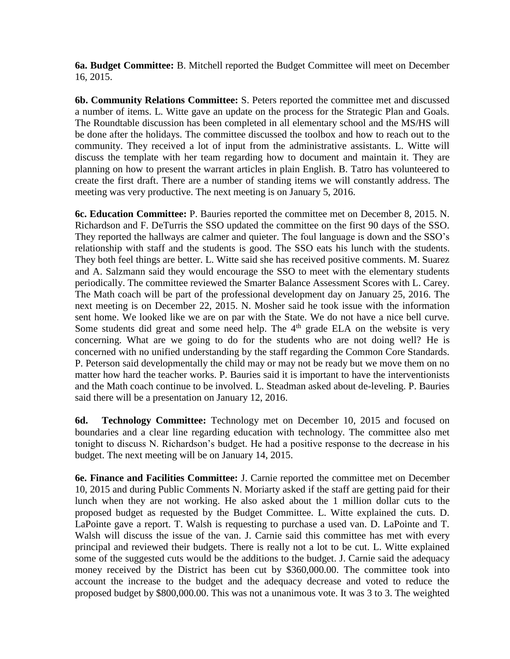**6a. Budget Committee:** B. Mitchell reported the Budget Committee will meet on December 16, 2015.

**6b. Community Relations Committee:** S. Peters reported the committee met and discussed a number of items. L. Witte gave an update on the process for the Strategic Plan and Goals. The Roundtable discussion has been completed in all elementary school and the MS/HS will be done after the holidays. The committee discussed the toolbox and how to reach out to the community. They received a lot of input from the administrative assistants. L. Witte will discuss the template with her team regarding how to document and maintain it. They are planning on how to present the warrant articles in plain English. B. Tatro has volunteered to create the first draft. There are a number of standing items we will constantly address. The meeting was very productive. The next meeting is on January 5, 2016.

 **6c. Education Committee:** P. Bauries reported the committee met on December 8, 2015. N. Richardson and F. DeTurris the SSO updated the committee on the first 90 days of the SSO. They reported the hallways are calmer and quieter. The foul language is down and the SSO's relationship with staff and the students is good. The SSO eats his lunch with the students. They both feel things are better. L. Witte said she has received positive comments. M. Suarez and A. Salzmann said they would encourage the SSO to meet with the elementary students periodically. The committee reviewed the Smarter Balance Assessment Scores with L. Carey. The Math coach will be part of the professional development day on January 25, 2016. The next meeting is on December 22, 2015. N. Mosher said he took issue with the information sent home. We looked like we are on par with the State. We do not have a nice bell curve. Some students did great and some need help. The  $4<sup>th</sup>$  grade ELA on the website is very concerning. What are we going to do for the students who are not doing well? He is concerned with no unified understanding by the staff regarding the Common Core Standards. P. Peterson said developmentally the child may or may not be ready but we move them on no matter how hard the teacher works. P. Bauries said it is important to have the interventionists and the Math coach continue to be involved. L. Steadman asked about de-leveling. P. Bauries said there will be a presentation on January 12, 2016.

**6d. Technology Committee:** Technology met on December 10, 2015 and focused on boundaries and a clear line regarding education with technology. The committee also met tonight to discuss N. Richardson's budget. He had a positive response to the decrease in his budget. The next meeting will be on January 14, 2015.

 **6e. Finance and Facilities Committee:** J. Carnie reported the committee met on December 10, 2015 and during Public Comments N. Moriarty asked if the staff are getting paid for their lunch when they are not working. He also asked about the 1 million dollar cuts to the proposed budget as requested by the Budget Committee. L. Witte explained the cuts. D. LaPointe gave a report. T. Walsh is requesting to purchase a used van. D. LaPointe and T. Walsh will discuss the issue of the van. J. Carnie said this committee has met with every principal and reviewed their budgets. There is really not a lot to be cut. L. Witte explained some of the suggested cuts would be the additions to the budget. J. Carnie said the adequacy money received by the District has been cut by \$360,000.00. The committee took into account the increase to the budget and the adequacy decrease and voted to reduce the proposed budget by \$800,000.00. This was not a unanimous vote. It was 3 to 3. The weighted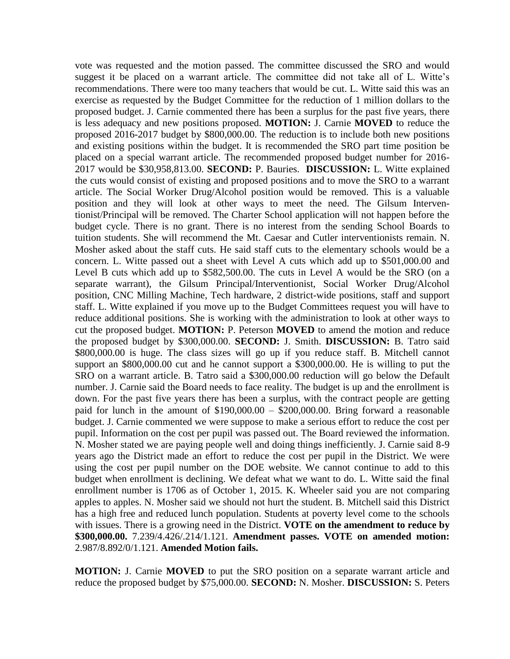vote was requested and the motion passed. The committee discussed the SRO and would suggest it be placed on a warrant article. The committee did not take all of L. Witte's recommendations. There were too many teachers that would be cut. L. Witte said this was an exercise as requested by the Budget Committee for the reduction of 1 million dollars to the proposed budget. J. Carnie commented there has been a surplus for the past five years, there is less adequacy and new positions proposed. **MOTION:** J. Carnie **MOVED** to reduce the proposed 2016-2017 budget by \$800,000.00. The reduction is to include both new positions and existing positions within the budget. It is recommended the SRO part time position be placed on a special warrant article. The recommended proposed budget number for 2016- 2017 would be \$30,958,813.00. **SECOND:** P. Bauries. **DISCUSSION:** L. Witte explained the cuts would consist of existing and proposed positions and to move the SRO to a warrant article. The Social Worker Drug/Alcohol position would be removed. This is a valuable position and they will look at other ways to meet the need. The Gilsum Interventionist/Principal will be removed. The Charter School application will not happen before the budget cycle. There is no grant. There is no interest from the sending School Boards to tuition students. She will recommend the Mt. Caesar and Cutler interventionists remain. N. Mosher asked about the staff cuts. He said staff cuts to the elementary schools would be a concern. L. Witte passed out a sheet with Level A cuts which add up to \$501,000.00 and Level B cuts which add up to \$582,500.00. The cuts in Level A would be the SRO (on a separate warrant), the Gilsum Principal/Interventionist, Social Worker Drug/Alcohol position, CNC Milling Machine, Tech hardware, 2 district-wide positions, staff and support staff. L. Witte explained if you move up to the Budget Committees request you will have to reduce additional positions. She is working with the administration to look at other ways to cut the proposed budget. **MOTION:** P. Peterson **MOVED** to amend the motion and reduce the proposed budget by \$300,000.00. **SECOND:** J. Smith. **DISCUSSION:** B. Tatro said \$800,000.00 is huge. The class sizes will go up if you reduce staff. B. Mitchell cannot support an \$800,000.00 cut and he cannot support a \$300,000.00. He is willing to put the SRO on a warrant article. B. Tatro said a \$300,000.00 reduction will go below the Default number. J. Carnie said the Board needs to face reality. The budget is up and the enrollment is down. For the past five years there has been a surplus, with the contract people are getting paid for lunch in the amount of \$190,000.00 – \$200,000.00. Bring forward a reasonable budget. J. Carnie commented we were suppose to make a serious effort to reduce the cost per pupil. Information on the cost per pupil was passed out. The Board reviewed the information. N. Mosher stated we are paying people well and doing things inefficiently. J. Carnie said 8-9 years ago the District made an effort to reduce the cost per pupil in the District. We were using the cost per pupil number on the DOE website. We cannot continue to add to this budget when enrollment is declining. We defeat what we want to do. L. Witte said the final enrollment number is 1706 as of October 1, 2015. K. Wheeler said you are not comparing apples to apples. N. Mosher said we should not hurt the student. B. Mitchell said this District has a high free and reduced lunch population. Students at poverty level come to the schools with issues. There is a growing need in the District. **VOTE on the amendment to reduce by \$300,000.00.** 7.239/4.426/.214/1.121. **Amendment passes. VOTE on amended motion:**  2.987/8.892/0/1.121. **Amended Motion fails.** 

**MOTION:** J. Carnie **MOVED** to put the SRO position on a separate warrant article and reduce the proposed budget by \$75,000.00. **SECOND:** N. Mosher. **DISCUSSION:** S. Peters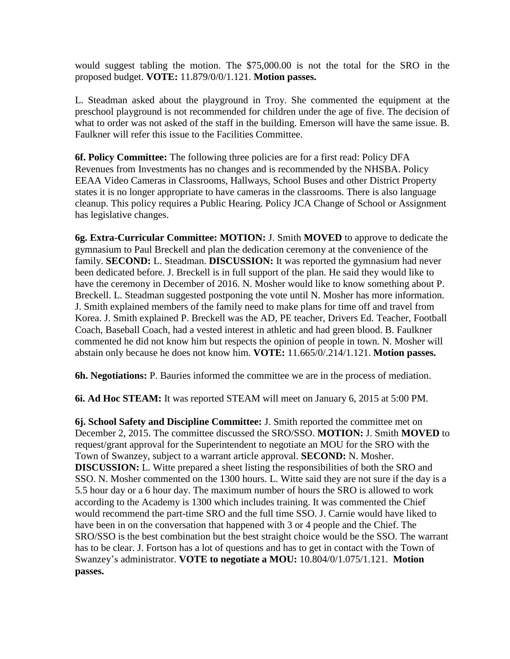would suggest tabling the motion. The \$75,000.00 is not the total for the SRO in the proposed budget. **VOTE:** 11.879/0/0/1.121. **Motion passes.** 

L. Steadman asked about the playground in Troy. She commented the equipment at the preschool playground is not recommended for children under the age of five. The decision of what to order was not asked of the staff in the building. Emerson will have the same issue. B. Faulkner will refer this issue to the Facilities Committee.

**6f. Policy Committee:** The following three policies are for a first read: Policy DFA Revenues from Investments has no changes and is recommended by the NHSBA. Policy EEAA Video Cameras in Classrooms, Hallways, School Buses and other District Property states it is no longer appropriate to have cameras in the classrooms. There is also language cleanup. This policy requires a Public Hearing. Policy JCA Change of School or Assignment has legislative changes.

**6g. Extra-Curricular Committee: MOTION:** J. Smith **MOVED** to approve to dedicate the gymnasium to Paul Breckell and plan the dedication ceremony at the convenience of the family. **SECOND:** L. Steadman. **DISCUSSION:** It was reported the gymnasium had never been dedicated before. J. Breckell is in full support of the plan. He said they would like to have the ceremony in December of 2016. N. Mosher would like to know something about P. Breckell. L. Steadman suggested postponing the vote until N. Mosher has more information. J. Smith explained members of the family need to make plans for time off and travel from Korea. J. Smith explained P. Breckell was the AD, PE teacher, Drivers Ed. Teacher, Football Coach, Baseball Coach, had a vested interest in athletic and had green blood. B. Faulkner commented he did not know him but respects the opinion of people in town. N. Mosher will abstain only because he does not know him. **VOTE:** 11.665/0/.214/1.121. **Motion passes.** 

**6h. Negotiations:** P. Bauries informed the committee we are in the process of mediation.

**6i. Ad Hoc STEAM:** It was reported STEAM will meet on January 6, 2015 at 5:00 PM.

**6j. School Safety and Discipline Committee:** J. Smith reported the committee met on December 2, 2015. The committee discussed the SRO/SSO. **MOTION:** J. Smith **MOVED** to request/grant approval for the Superintendent to negotiate an MOU for the SRO with the Town of Swanzey, subject to a warrant article approval. **SECOND:** N. Mosher. **DISCUSSION:** L. Witte prepared a sheet listing the responsibilities of both the SRO and SSO. N. Mosher commented on the 1300 hours. L. Witte said they are not sure if the day is a 5.5 hour day or a 6 hour day. The maximum number of hours the SRO is allowed to work according to the Academy is 1300 which includes training. It was commented the Chief would recommend the part-time SRO and the full time SSO. J. Carnie would have liked to have been in on the conversation that happened with 3 or 4 people and the Chief. The SRO/SSO is the best combination but the best straight choice would be the SSO. The warrant has to be clear. J. Fortson has a lot of questions and has to get in contact with the Town of Swanzey's administrator. **VOTE to negotiate a MOU:** 10.804/0/1.075/1.121. **Motion passes.**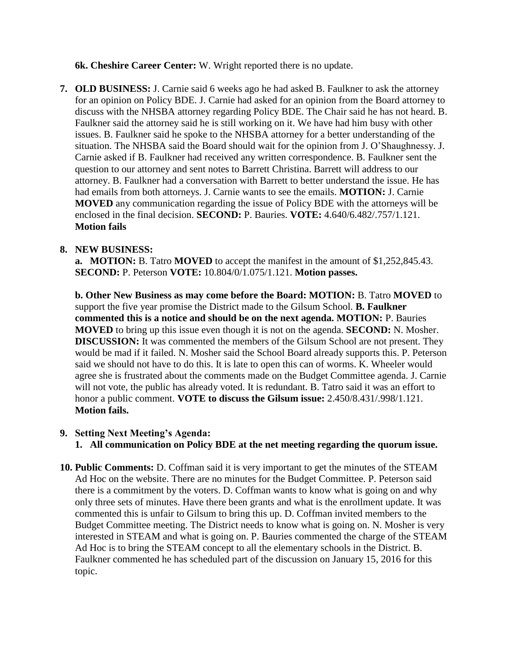**6k. Cheshire Career Center:** W. Wright reported there is no update.

**7. OLD BUSINESS:** J. Carnie said 6 weeks ago he had asked B. Faulkner to ask the attorney for an opinion on Policy BDE. J. Carnie had asked for an opinion from the Board attorney to discuss with the NHSBA attorney regarding Policy BDE. The Chair said he has not heard. B. Faulkner said the attorney said he is still working on it. We have had him busy with other issues. B. Faulkner said he spoke to the NHSBA attorney for a better understanding of the situation. The NHSBA said the Board should wait for the opinion from J. O'Shaughnessy. J. Carnie asked if B. Faulkner had received any written correspondence. B. Faulkner sent the question to our attorney and sent notes to Barrett Christina. Barrett will address to our attorney. B. Faulkner had a conversation with Barrett to better understand the issue. He has had emails from both attorneys. J. Carnie wants to see the emails. **MOTION:** J. Carnie **MOVED** any communication regarding the issue of Policy BDE with the attorneys will be enclosed in the final decision. **SECOND:** P. Bauries. **VOTE:** 4.640/6.482/.757/1.121. **Motion fails**

#### **8. NEW BUSINESS:**

**a. MOTION:** B. Tatro **MOVED** to accept the manifest in the amount of \$1,252,845.43. **SECOND:** P. Peterson **VOTE:** 10.804/0/1.075/1.121. **Motion passes.**

**b. Other New Business as may come before the Board: MOTION:** B. Tatro **MOVED** to support the five year promise the District made to the Gilsum School. **B. Faulkner commented this is a notice and should be on the next agenda. MOTION:** P. Bauries **MOVED** to bring up this issue even though it is not on the agenda. **SECOND:** N. Mosher. **DISCUSSION:** It was commented the members of the Gilsum School are not present. They would be mad if it failed. N. Mosher said the School Board already supports this. P. Peterson said we should not have to do this. It is late to open this can of worms. K. Wheeler would agree she is frustrated about the comments made on the Budget Committee agenda. J. Carnie will not vote, the public has already voted. It is redundant. B. Tatro said it was an effort to honor a public comment. **VOTE to discuss the Gilsum issue:** 2.450/8.431/.998/1.121. **Motion fails.** 

#### **9. Setting Next Meeting's Agenda:**

**1. All communication on Policy BDE at the net meeting regarding the quorum issue.**

**10. Public Comments:** D. Coffman said it is very important to get the minutes of the STEAM Ad Hoc on the website. There are no minutes for the Budget Committee. P. Peterson said there is a commitment by the voters. D. Coffman wants to know what is going on and why only three sets of minutes. Have there been grants and what is the enrollment update. It was commented this is unfair to Gilsum to bring this up. D. Coffman invited members to the Budget Committee meeting. The District needs to know what is going on. N. Mosher is very interested in STEAM and what is going on. P. Bauries commented the charge of the STEAM Ad Hoc is to bring the STEAM concept to all the elementary schools in the District. B. Faulkner commented he has scheduled part of the discussion on January 15, 2016 for this topic.